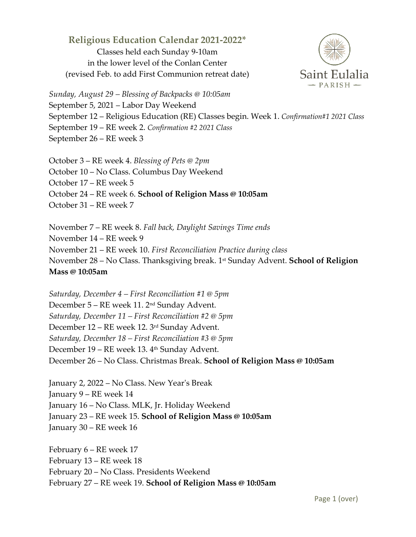## **Religious Education Calendar 2021-2022\***

Classes held each Sunday 9-10am in the lower level of the Conlan Center (revised Feb. to add First Communion retreat date)



*Sunday, August 29 – Blessing of Backpacks @ 10:05am* September 5, 2021 – Labor Day Weekend September 12 – Religious Education (RE) Classes begin. Week 1. *Confirmation#1 2021 Class* September 19 – RE week 2. *Confirmation #2 2021 Class* September 26 – RE week 3

October 3 – RE week 4. *Blessing of Pets @ 2pm* October 10 – No Class. Columbus Day Weekend October 17 – RE week 5 October 24 – RE week 6. **School of Religion Mass @ 10:05am** October 31 – RE week 7

November 7 – RE week 8. *Fall back, Daylight Savings Time ends* November 14 – RE week 9 November 21 – RE week 10. *First Reconciliation Practice during class* November 28 – No Class. Thanksgiving break. 1st Sunday Advent. **School of Religion Mass @ 10:05am**

*Saturday, December 4 – First Reconciliation #1 @ 5pm* December 5 – RE week 11. 2nd Sunday Advent. *Saturday, December 11 – First Reconciliation #2 @ 5pm* December 12 – RE week 12. 3rd Sunday Advent. *Saturday, December 18 – First Reconciliation #3 @ 5pm* December 19 – RE week 13. 4<sup>th</sup> Sunday Advent. December 26 – No Class. Christmas Break. **School of Religion Mass @ 10:05am**

January 2, 2022 – No Class. New Year's Break January 9 – RE week 14 January 16 – No Class. MLK, Jr. Holiday Weekend January 23 – RE week 15. **School of Religion Mass @ 10:05am** January 30 – RE week 16

February 6 – RE week 17 February 13 – RE week 18 February 20 – No Class. Presidents Weekend February 27 – RE week 19. **School of Religion Mass @ 10:05am**